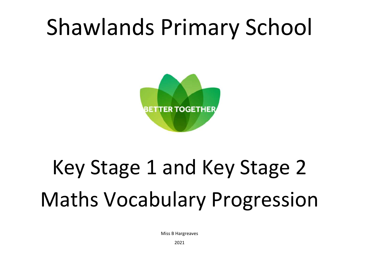## Shawlands Primary School



# Key Stage 1 and Key Stage 2 Maths Vocabulary Progression

Miss B Hargreaves

2021

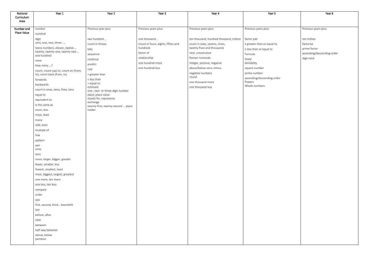| National                  | Year 1                                | Year 2                                       | Year 3                                          | Year 4                                                       | Year 5                         | Year 6                  |
|---------------------------|---------------------------------------|----------------------------------------------|-------------------------------------------------|--------------------------------------------------------------|--------------------------------|-------------------------|
| Curriculum                |                                       |                                              |                                                 |                                                              |                                |                         |
| Area                      |                                       |                                              |                                                 |                                                              |                                |                         |
|                           |                                       |                                              |                                                 |                                                              |                                |                         |
| Number and<br>Place Value | number<br>numeral                     | Previous year plus:                          | Previous years plus:                            | Previous years plus:                                         | Previous years plus:           | Previous years plus:    |
|                           | digit                                 | two hundred                                  | one thousand                                    | ten thousand, hundred thousand, million                      | factor pair                    | ten million             |
|                           | zero, one, two, three ,               | count in threes                              |                                                 |                                                              |                                | factorise               |
|                           | teens numbers, eleven, twelve         |                                              | Count in fours, eights, fifties and<br>hundreds | count in sixes, sevens, nines,<br>twenty-fives and thousands | $\ge$ greater than or equal to | prime factor            |
|                           | twenty, twenty-one, twenty-two        | tally                                        | factor of                                       | next, consecutive                                            | $\le$ less than or equal to    | ascending/descending or |
|                           | one hundred                           | sequence                                     | relationship                                    | Roman numerals                                               | Formula                        |                         |
|                           | none                                  | continue                                     |                                                 |                                                              | linear                         | digit total             |
|                           | how many ?                            | predict                                      | one hundred more                                | integer, positive, negative                                  | divisibility                   |                         |
|                           | count, count (up) to, count on (from, | rule                                         | one hundred less                                | above/below zero, minus                                      | square number                  |                         |
|                           | to), count back (from, to)            | > greater than                               |                                                 | negative numbers<br>round                                    | prime number                   |                         |
|                           | forwards                              | < less than                                  |                                                 |                                                              | ascending/descending order     |                         |
|                           | backwards                             | $=$ equal to                                 |                                                 | one thousand more                                            | Powers<br>Whole numbers        |                         |
|                           | count in ones, twos, fives, tens      | estimate<br>one-, two- or three-digit number |                                                 | one thousand less                                            |                                |                         |
|                           | equal to                              | place, place value                           |                                                 |                                                              |                                |                         |
|                           | equivalent to                         | stands for, represents                       |                                                 |                                                              |                                |                         |
|                           | is the same as                        | exchange                                     |                                                 |                                                              |                                |                         |
|                           | more, less                            | twenty-first, twenty-second  place<br>holder |                                                 |                                                              |                                |                         |
|                           |                                       |                                              |                                                 |                                                              |                                |                         |
|                           | most, least                           |                                              |                                                 |                                                              |                                |                         |
|                           | many                                  |                                              |                                                 |                                                              |                                |                         |
|                           | odd, even                             |                                              |                                                 |                                                              |                                |                         |
|                           | multiple of                           |                                              |                                                 |                                                              |                                |                         |
|                           | few                                   |                                              |                                                 |                                                              |                                |                         |
|                           | pattern                               |                                              |                                                 |                                                              |                                |                         |
|                           | pair                                  |                                              |                                                 |                                                              |                                |                         |
|                           | ones                                  |                                              |                                                 |                                                              |                                |                         |
|                           | tens                                  |                                              |                                                 |                                                              |                                |                         |
|                           | more, larger, bigger, greater         |                                              |                                                 |                                                              |                                |                         |
|                           | fewer, smaller, less                  |                                              |                                                 |                                                              |                                |                         |
|                           | fewest, smallest, least               |                                              |                                                 |                                                              |                                |                         |
|                           | most, biggest, largest, greatest      |                                              |                                                 |                                                              |                                |                         |
|                           | one more, ten more                    |                                              |                                                 |                                                              |                                |                         |
|                           | one less, ten less                    |                                              |                                                 |                                                              |                                |                         |
|                           | compare                               |                                              |                                                 |                                                              |                                |                         |
|                           | order                                 |                                              |                                                 |                                                              |                                |                         |
|                           | size                                  |                                              |                                                 |                                                              |                                |                         |
|                           | first, second, third twentieth        |                                              |                                                 |                                                              |                                |                         |
|                           | last                                  |                                              |                                                 |                                                              |                                |                         |
|                           |                                       |                                              |                                                 |                                                              |                                |                         |
|                           | before, after                         |                                              |                                                 |                                                              |                                |                         |
|                           | next                                  |                                              |                                                 |                                                              |                                |                         |
|                           | between                               |                                              |                                                 |                                                              |                                |                         |
|                           | half-way between                      |                                              |                                                 |                                                              |                                |                         |
|                           | above, below                          |                                              |                                                 |                                                              |                                |                         |
|                           | partition                             |                                              |                                                 |                                                              |                                |                         |
|                           |                                       |                                              |                                                 |                                                              |                                |                         |

|   | Year 6                     |
|---|----------------------------|
|   |                            |
|   | Previous years plus:       |
|   |                            |
|   | ten million                |
|   | factorise                  |
|   | prime factor               |
|   | ascending/descending order |
|   | digit total                |
|   |                            |
|   |                            |
| r |                            |
|   |                            |
|   |                            |
|   |                            |
|   |                            |
|   |                            |
|   |                            |
|   |                            |
|   |                            |
|   |                            |
|   |                            |
|   |                            |
|   |                            |
|   |                            |
|   |                            |
|   |                            |
|   |                            |
|   |                            |
|   |                            |
|   |                            |
|   |                            |
|   |                            |
|   |                            |
|   |                            |
|   |                            |
|   |                            |
|   |                            |
|   |                            |
|   |                            |
|   |                            |
|   |                            |
|   |                            |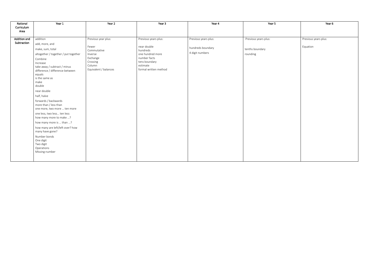| National<br>Curriculum<br>Area | Year 1                                                                                                                                                                                                                                                                                                                                                                                                                                                                                                                                                               | Year 2                                                                                                            | Year 3                                                                                                                                    | Year 4                                                       | Year 5                                              | Year 6                           |
|--------------------------------|----------------------------------------------------------------------------------------------------------------------------------------------------------------------------------------------------------------------------------------------------------------------------------------------------------------------------------------------------------------------------------------------------------------------------------------------------------------------------------------------------------------------------------------------------------------------|-------------------------------------------------------------------------------------------------------------------|-------------------------------------------------------------------------------------------------------------------------------------------|--------------------------------------------------------------|-----------------------------------------------------|----------------------------------|
| Addition and<br>Subtraction    | addition<br>add, more, and<br>make, sum, total<br>altogether / together / put together<br>Combine<br>Increase<br>take away / subtract / minus<br>difference / difference between<br>equals<br>is the same as<br>make<br>double<br>near double<br>half, halve<br>forwards / backwards<br>more than / less than<br>one more, two more  ten more<br>one less, two less ten less<br>how many more to make ?<br>how many more is  than ?<br>how many are left/left over? how<br>many have gone?<br>Number bonds<br>One digit<br>Two digit<br>Operations<br>Missing number | Previous year plus:<br>Fewer<br>Commutative<br>Inverse<br>Exchange<br>Crossing<br>Column<br>Equivalent / balances | Previous years plus:<br>near double<br>hundreds<br>one hundred more<br>number facts<br>tens boundary<br>estimate<br>formal written method | Previous years plus:<br>hundreds boundary<br>4 digit numbers | Previous years plus:<br>tenths boundary<br>rounding | Previous years plus:<br>Equation |
|                                |                                                                                                                                                                                                                                                                                                                                                                                                                                                                                                                                                                      |                                                                                                                   |                                                                                                                                           |                                                              |                                                     |                                  |

| Year 6               |
|----------------------|
|                      |
| Previous years plus: |
| Equation             |
|                      |
|                      |
|                      |
|                      |
|                      |
|                      |
|                      |
|                      |
|                      |
|                      |
|                      |
|                      |
|                      |
|                      |
|                      |
|                      |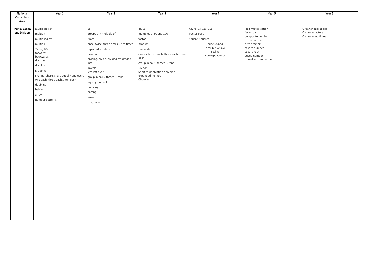| National       | Year 1                                  | Year 2                                | Year 3                                             | Year 4                    | Year 5                           | Year 6              |
|----------------|-----------------------------------------|---------------------------------------|----------------------------------------------------|---------------------------|----------------------------------|---------------------|
| Curriculum     |                                         |                                       |                                                    |                           |                                  |                     |
| Area           |                                         |                                       |                                                    |                           |                                  |                     |
| Multiplication | multiplication                          | 3s                                    | 4s, 8s                                             | 6s, 7s, 9s, 11s, 12s      | long multiplication              | Order of operations |
| and Division   | multiply                                | groups of / multiple of               | multiples of 50 and 100                            | Factor pairs              | factor pairs                     | Common factors      |
|                | multiplied by                           | times                                 | factor                                             | square, squared           | composite number<br>prime number | Common multiples    |
|                | multiple                                | once, twice, three times  ten times   | product                                            | cube, cubed               | prime factors                    |                     |
|                | 2s, 5s, 10s                             | repeated addition                     | remainder                                          | distributive law          | square number                    |                     |
|                | forwards                                | division                              | one each, two each, three each  ten                | scaling<br>correspondence | square root<br>cubed number      |                     |
|                | backwards<br>division                   | dividing, divide, divided by, divided | each                                               |                           | formal written method            |                     |
|                | dividing                                | into                                  | group in pairs, threes  tens                       |                           |                                  |                     |
|                | grouping                                | inverse                               | Divisor                                            |                           |                                  |                     |
|                | sharing, share, share equally one each, | left, left over                       | Short multiplication / division<br>expanded method |                           |                                  |                     |
|                | two each, three each  ten each          | group in pairs, threes  tens          | Chunking                                           |                           |                                  |                     |
|                | doubling                                | equal groups of                       |                                                    |                           |                                  |                     |
|                | halving                                 | doubling                              |                                                    |                           |                                  |                     |
|                | array                                   | halving                               |                                                    |                           |                                  |                     |
|                | number patterns                         | array                                 |                                                    |                           |                                  |                     |
|                |                                         | row, column                           |                                                    |                           |                                  |                     |
|                |                                         |                                       |                                                    |                           |                                  |                     |
|                |                                         |                                       |                                                    |                           |                                  |                     |
|                |                                         |                                       |                                                    |                           |                                  |                     |
|                |                                         |                                       |                                                    |                           |                                  |                     |
|                |                                         |                                       |                                                    |                           |                                  |                     |
|                |                                         |                                       |                                                    |                           |                                  |                     |
|                |                                         |                                       |                                                    |                           |                                  |                     |
|                |                                         |                                       |                                                    |                           |                                  |                     |
|                |                                         |                                       |                                                    |                           |                                  |                     |
|                |                                         |                                       |                                                    |                           |                                  |                     |
|                |                                         |                                       |                                                    |                           |                                  |                     |
|                |                                         |                                       |                                                    |                           |                                  |                     |
|                |                                         |                                       |                                                    |                           |                                  |                     |
|                |                                         |                                       |                                                    |                           |                                  |                     |
|                |                                         |                                       |                                                    |                           |                                  |                     |
|                |                                         |                                       |                                                    |                           |                                  |                     |
|                |                                         |                                       |                                                    |                           |                                  |                     |
|                |                                         |                                       |                                                    |                           |                                  |                     |
|                |                                         |                                       |                                                    |                           |                                  |                     |
|                |                                         |                                       |                                                    |                           |                                  |                     |
|                |                                         |                                       |                                                    |                           |                                  |                     |
|                |                                         |                                       |                                                    |                           |                                  |                     |
|                |                                         |                                       |                                                    |                           |                                  |                     |

| Year 6              |
|---------------------|
|                     |
|                     |
|                     |
| Order of operations |
| Common factors      |
| Common multiples    |
|                     |
|                     |
|                     |
|                     |
|                     |
|                     |
|                     |
|                     |
|                     |
|                     |
|                     |
|                     |
|                     |
|                     |
|                     |
|                     |
|                     |
|                     |
|                     |
|                     |
|                     |
|                     |
|                     |
|                     |
|                     |
|                     |
|                     |
|                     |
|                     |
|                     |
|                     |
|                     |
|                     |
|                     |
|                     |
|                     |
|                     |
|                     |
|                     |
|                     |
|                     |
|                     |
|                     |
|                     |
|                     |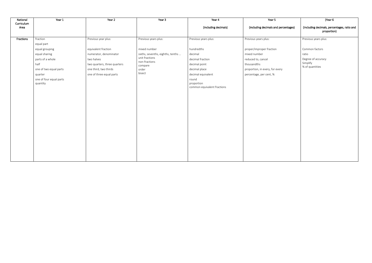| National           | Year 1                              | Year 2                       | Year 3                            | Year 4                                             | Year 5                               | (Year 6                                                    |
|--------------------|-------------------------------------|------------------------------|-----------------------------------|----------------------------------------------------|--------------------------------------|------------------------------------------------------------|
| Curriculum<br>Area |                                     |                              |                                   | (including decimals)                               | (including decimals and percentages) | (including decimals, percentages, ratio and<br>proportion) |
| Fractions          | fraction                            | Previous year plus:          | Previous years plus:              | Previous years plus:                               | Previous years plus:                 | Previous years plus:                                       |
|                    | equal part                          |                              |                                   |                                                    |                                      |                                                            |
|                    | equal grouping                      | equivalent fraction          | mixed number                      | hundredths                                         | proper/improper fraction             | Common factors                                             |
|                    | equal sharing                       | numerator, denominator       | sixths, sevenths, eighths, tenths | decimal                                            | mixed number                         | ratio                                                      |
|                    | parts of a whole                    | two halves                   | unit fractions<br>non-fractions   | decimal fraction                                   | reduced to, cancel                   | Degree of accuracy                                         |
|                    | half                                | two quarters, three quarters | compare                           | decimal point                                      | thousandths                          | Simplify<br>% of quantities                                |
|                    | one of two equal parts              | one third, two thirds        | order                             | decimal place                                      | proportion, in every, for every      |                                                            |
|                    | quarter                             | one of three equal parts     | bisect                            | decimal equivalent                                 | percentage, per cent, %              |                                                            |
|                    | one of four equal parts<br>quantity |                              |                                   | round<br>proportion<br>common equivalent fractions |                                      |                                                            |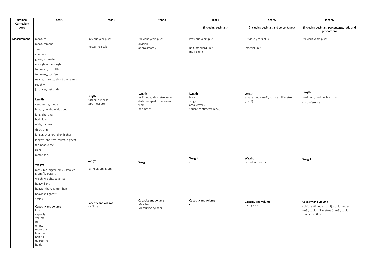| National           | Year 1                                      | Year 2                            | Year 3                                                     | Year 4                  | Year 5                                        | (Year 6                                     |
|--------------------|---------------------------------------------|-----------------------------------|------------------------------------------------------------|-------------------------|-----------------------------------------------|---------------------------------------------|
| Curriculum<br>Area |                                             |                                   |                                                            | (including decimals)    | (including decimals and percentages)          | (including decimals, percentages, ratio and |
|                    |                                             |                                   |                                                            |                         |                                               | proportion)                                 |
| Measurement        | measure                                     | Previous year plus:               | Previous years plus:                                       | Previous years plus:    | Previous years plus:                          | Previous years plus:                        |
|                    | measurement                                 |                                   | division                                                   |                         |                                               |                                             |
|                    | size                                        | measuring scale                   | approximately                                              | unit, standard unit     | imperial unit                                 |                                             |
|                    | compare                                     |                                   |                                                            | metric unit             |                                               |                                             |
|                    | guess, estimate                             |                                   |                                                            |                         |                                               |                                             |
|                    | enough, not enough                          |                                   |                                                            |                         |                                               |                                             |
|                    | too much, too little                        |                                   |                                                            |                         |                                               |                                             |
|                    | too many, too few                           |                                   |                                                            |                         |                                               |                                             |
|                    | nearly, close to, about the same as         |                                   |                                                            |                         |                                               |                                             |
|                    | roughly                                     |                                   |                                                            |                         |                                               |                                             |
|                    | just over, just under                       |                                   |                                                            |                         |                                               |                                             |
|                    |                                             | Length                            | Length                                                     | Length                  | Length                                        | Length                                      |
|                    | Length                                      | further, furthest                 | millimetre, kilometre, mile<br>distance apart  between  to | breadth<br>edge         | square metre (m2), square millimetre<br>(mm2) | yard, foot, feet, inch, inches              |
|                    | centimetre, metre                           | tape measure                      | from                                                       | area, covers            |                                               | circumference                               |
|                    | length, height, width, depth                |                                   | perimeter                                                  | square centimetre (cm2) |                                               |                                             |
|                    | long, short, tall                           |                                   |                                                            |                         |                                               |                                             |
|                    | high, low                                   |                                   |                                                            |                         |                                               |                                             |
|                    | wide, narrow                                |                                   |                                                            |                         |                                               |                                             |
|                    | thick, thin                                 |                                   |                                                            |                         |                                               |                                             |
|                    | longer, shorter, taller, higher             |                                   |                                                            |                         |                                               |                                             |
|                    | longest, shortest, tallest, highest         |                                   |                                                            |                         |                                               |                                             |
|                    | far, near, close                            |                                   |                                                            |                         |                                               |                                             |
|                    | ruler                                       |                                   |                                                            |                         |                                               |                                             |
|                    | metre stick                                 |                                   |                                                            | Weight                  | Weight                                        | Weight                                      |
|                    |                                             | Weight                            | Weight                                                     |                         | Pound, ounce, pint                            |                                             |
|                    | Weight<br>mass: big, bigger, small, smaller | half kilogram, gram               |                                                            |                         |                                               |                                             |
|                    | gram / kilogram,                            |                                   |                                                            |                         |                                               |                                             |
|                    | weigh, weighs, balances                     |                                   |                                                            |                         |                                               |                                             |
|                    | heavy, light                                |                                   |                                                            |                         |                                               |                                             |
|                    | heavier than, lighter than                  |                                   |                                                            |                         |                                               |                                             |
|                    | heaviest, lightest                          |                                   |                                                            |                         |                                               |                                             |
|                    | scales                                      |                                   | Capacity and volume                                        | Capacity and volume     | Capacity and volume                           | Capacity and volume                         |
|                    | Capacity and volume                         | Capacity and volume<br>Half litre | Millilitre                                                 |                         | pint, gallon                                  | cubic centimetres(cm3), cubic metres        |
|                    | litre                                       |                                   | Measuring cylinder                                         |                         |                                               | (m3), cubic millimetres (mm3), cubic        |
|                    | capacity                                    |                                   |                                                            |                         |                                               | kilometres (km3)                            |
|                    | volume<br>full                              |                                   |                                                            |                         |                                               |                                             |
|                    | empty                                       |                                   |                                                            |                         |                                               |                                             |
|                    | more than<br>less than                      |                                   |                                                            |                         |                                               |                                             |
|                    | half full                                   |                                   |                                                            |                         |                                               |                                             |
|                    | quarter full                                |                                   |                                                            |                         |                                               |                                             |
|                    | holds                                       |                                   |                                                            |                         |                                               |                                             |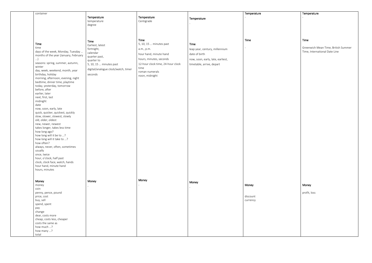| container                                                                  |                                     |                                   |                                   | Temperature |
|----------------------------------------------------------------------------|-------------------------------------|-----------------------------------|-----------------------------------|-------------|
|                                                                            | Temperature                         | Temperature                       | Temperature                       |             |
|                                                                            | temperature                         | Centigrade                        |                                   |             |
|                                                                            | degree                              |                                   |                                   |             |
|                                                                            |                                     |                                   |                                   |             |
|                                                                            |                                     |                                   |                                   |             |
|                                                                            | Time                                | Time                              |                                   | Time        |
| <b>Time</b>                                                                | Earliest, latest                    | 5, 10, 15  minutes past           | Time                              |             |
| time                                                                       | fortnight,                          | a.m., p.m.                        | leap year, century, millennium    |             |
| days of the week, Monday, Tuesday<br>months of the year (January, February | calendar                            | hour hand, minute hand            | date of birth                     |             |
| $\ldots$                                                                   | quarter past,                       | hours, minutes, seconds           | now, soon, early, late, earliest, |             |
| seasons: spring, summer, autumn,                                           | quarter to                          |                                   |                                   |             |
| winter                                                                     | 5, 10, 15  minutes past             | 12-hour clock time, 24-hour clock | timetable, arrive, depart         |             |
| day, week, weekend, month, year                                            | digital/analogue clock/watch, timer | time<br>roman numerals            |                                   |             |
| birthday, holiday                                                          | seconds                             | noon, midnight                    |                                   |             |
| morning, afternoon, evening, night                                         |                                     |                                   |                                   |             |
| bedtime, dinner time, playtime                                             |                                     |                                   |                                   |             |
| today, yesterday, tomorrow                                                 |                                     |                                   |                                   |             |
| before, after                                                              |                                     |                                   |                                   |             |
| earlier, later                                                             |                                     |                                   |                                   |             |
| next, first, last                                                          |                                     |                                   |                                   |             |
| midnight                                                                   |                                     |                                   |                                   |             |
| date                                                                       |                                     |                                   |                                   |             |
| now, soon, early, late                                                     |                                     |                                   |                                   |             |
| quick, quicker, quickest, quickly                                          |                                     |                                   |                                   |             |
| slow, slower, slowest, slowly                                              |                                     |                                   |                                   |             |
| old, older, oldest                                                         |                                     |                                   |                                   |             |
| new, newer, newest<br>takes longer, takes less time                        |                                     |                                   |                                   |             |
| how long ago?                                                              |                                     |                                   |                                   |             |
| how long will it be to ?                                                   |                                     |                                   |                                   |             |
| how long will it take to ?                                                 |                                     |                                   |                                   |             |
| how often?                                                                 |                                     |                                   |                                   |             |
| always, never, often, sometimes                                            |                                     |                                   |                                   |             |
| usually                                                                    |                                     |                                   |                                   |             |
| once, twice                                                                |                                     |                                   |                                   |             |
| hour, o'clock, half past                                                   |                                     |                                   |                                   |             |
| clock, clock face, watch, hands                                            |                                     |                                   |                                   |             |
| hour hand, minute hand                                                     |                                     |                                   |                                   |             |
| hours, minutes                                                             |                                     |                                   |                                   |             |
|                                                                            |                                     | Money                             |                                   |             |
| Money                                                                      | Money                               |                                   | Money                             |             |
| money<br>coin                                                              |                                     |                                   |                                   | Money       |
| penny, pence, pound                                                        |                                     |                                   |                                   |             |
| price, cost                                                                |                                     |                                   |                                   | discount    |
| buy, sell                                                                  |                                     |                                   |                                   | currency    |
| spend, spent                                                               |                                     |                                   |                                   |             |
| pay                                                                        |                                     |                                   |                                   |             |
| change                                                                     |                                     |                                   |                                   |             |
| dear, costs more                                                           |                                     |                                   |                                   |             |
| cheap, costs less, cheaper                                                 |                                     |                                   |                                   |             |
| costs the same as                                                          |                                     |                                   |                                   |             |
| how much ?                                                                 |                                     |                                   |                                   |             |
| how many ?                                                                 |                                     |                                   |                                   |             |
| total                                                                      |                                     |                                   |                                   |             |

## **Temperature**

-

### Time

Greenwich Mean Time, British Summer Time, International Date Line

### Money

profit, loss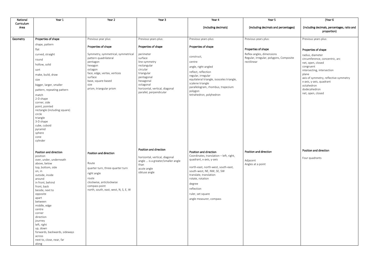| National           | Year 1                                    | Year 2                                                | Year 3                                                    | Year 4                                                | Year 5                                                 | (Year 6                                        |
|--------------------|-------------------------------------------|-------------------------------------------------------|-----------------------------------------------------------|-------------------------------------------------------|--------------------------------------------------------|------------------------------------------------|
| Curriculum<br>Area |                                           |                                                       |                                                           | (including decimals)                                  | (including decimals and percentages)                   | (including decimals, percentages, ratio and    |
|                    |                                           |                                                       |                                                           |                                                       |                                                        | proportion)                                    |
| Geometry           | Properties of shape                       | Previous year plus:                                   | Previous years plus:                                      | Previous years plus:                                  | Previous years plus:                                   | Previous years plus:                           |
|                    | shape, pattern                            |                                                       |                                                           |                                                       |                                                        |                                                |
|                    | flat                                      | Properties of shape                                   | Properties of shape                                       | Properties of shape                                   | Properties of shape                                    | Properties of shape                            |
|                    | curved, straight                          | Symmetry, symmetrical, symmetrical                    | perimeter                                                 | construct,                                            | Reflex angles, dimensions                              | radius, diameter                               |
|                    | round                                     | pattern quadrilateral<br>pentagon                     | surface<br>line symmetry                                  | centre                                                | Regular, irregular, polygons, Composite<br>rectilinear | circumference, concentric, arc                 |
|                    | hollow, solid                             | hexagon                                               | rectangular                                               | angle, right-angled                                   |                                                        | net, open, closed<br>congruent                 |
|                    | sort                                      | octagon                                               | circular                                                  | reflect, reflection                                   |                                                        | intersecting, intersection                     |
|                    | make, build, draw                         | face, edge, vertex, vertices<br>surface               | triangular<br>pentagonal                                  | regular, irregular                                    |                                                        | plane<br>axis of symmetry, reflective symmetry |
|                    | size                                      | base, square-based                                    | hexagonal                                                 | equilateral triangle, isosceles triangle,             |                                                        | x-axis, y-axis, quadrant                       |
|                    | bigger, larger, smaller                   | size                                                  | octagonal                                                 | scalene triangle<br>parallelogram, rhombus, trapezium |                                                        | octahedron                                     |
|                    | pattern, repeating pattern                | prism, triangular prism                               | horizontal, vertical, diagonal<br>parallel, perpendicular | polygon                                               |                                                        | dodecahedron<br>net, open, closed              |
|                    | match<br>2-D shape                        |                                                       |                                                           | tetrahedron, polyhedron                               |                                                        |                                                |
|                    | corner, side                              |                                                       |                                                           |                                                       |                                                        |                                                |
|                    | point, pointed                            |                                                       |                                                           |                                                       |                                                        |                                                |
|                    | rectangle (including square)<br>circle    |                                                       |                                                           |                                                       |                                                        |                                                |
|                    | triangle                                  |                                                       |                                                           |                                                       |                                                        |                                                |
|                    | 3-D shape<br>cube, cuboid                 |                                                       |                                                           |                                                       |                                                        |                                                |
|                    | pyramid                                   |                                                       |                                                           |                                                       |                                                        |                                                |
|                    | sphere                                    |                                                       |                                                           |                                                       |                                                        |                                                |
|                    | cone<br>cylinder                          |                                                       |                                                           |                                                       |                                                        |                                                |
|                    |                                           |                                                       |                                                           |                                                       |                                                        |                                                |
|                    | Position and direction                    |                                                       | Position and direction                                    | Position and direction                                | Position and direction                                 | Position and direction                         |
|                    | position                                  | Position and direction                                | horizontal, vertical, diagonal                            | Coordinates, translation - left, right,               |                                                        | Four quadrants                                 |
|                    | over, under, underneath                   | Route                                                 | angle  is a greater/smaller angle                         | quadrant, x-axis, y-axis                              | Adjacent                                               |                                                |
|                    | above, below<br>top, bottom, side         | quarter turn, three-quarter turn                      | than<br>acute angle                                       | north-east, north-west, south-east,                   | Angles at a point                                      |                                                |
|                    | on, in                                    | right angle                                           | obtuse angle                                              | south-west, NE, NW, SE, SW                            |                                                        |                                                |
|                    | outside, inside<br>around                 | route                                                 |                                                           | translate, translation<br>rotate, rotation            |                                                        |                                                |
|                    | in front, behind                          | clockwise, anticlockwise                              |                                                           | degree                                                |                                                        |                                                |
|                    | front, back<br>beside, next to            | compass point<br>north, south, east, west, N, S, E, W |                                                           | reflection                                            |                                                        |                                                |
|                    | opposite                                  |                                                       |                                                           | ruler, set square                                     |                                                        |                                                |
|                    | apart                                     |                                                       |                                                           | angle measurer, compass                               |                                                        |                                                |
|                    | between<br>middle, edge                   |                                                       |                                                           |                                                       |                                                        |                                                |
|                    | centre                                    |                                                       |                                                           |                                                       |                                                        |                                                |
|                    | corner<br>direction                       |                                                       |                                                           |                                                       |                                                        |                                                |
|                    | journey                                   |                                                       |                                                           |                                                       |                                                        |                                                |
|                    | left, right                               |                                                       |                                                           |                                                       |                                                        |                                                |
|                    | up, down<br>forwards, backwards, sideways |                                                       |                                                           |                                                       |                                                        |                                                |
|                    | across                                    |                                                       |                                                           |                                                       |                                                        |                                                |
|                    | next to, close, near, far                 |                                                       |                                                           |                                                       |                                                        |                                                |
|                    | along                                     |                                                       |                                                           |                                                       |                                                        |                                                |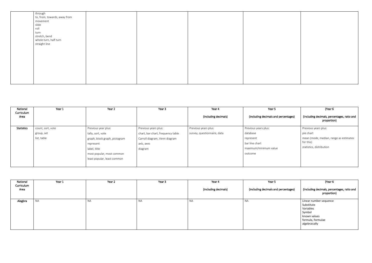| through                      |  |  |  |
|------------------------------|--|--|--|
| to, from, towards, away from |  |  |  |
| movement                     |  |  |  |
| slide                        |  |  |  |
| roll                         |  |  |  |
| turn                         |  |  |  |
| stretch, bend                |  |  |  |
| whole turn, half turn        |  |  |  |
| straight line                |  |  |  |
|                              |  |  |  |
|                              |  |  |  |
|                              |  |  |  |
|                              |  |  |  |
|                              |  |  |  |
|                              |  |  |  |
|                              |  |  |  |
|                              |  |  |  |
|                              |  |  |  |
|                              |  |  |  |

| National           | Year 1            | Year 2                        | Year 3                            | Year 4                      | Year 5                               | (Year 6                                                    |
|--------------------|-------------------|-------------------------------|-----------------------------------|-----------------------------|--------------------------------------|------------------------------------------------------------|
| Curriculum<br>Area |                   |                               |                                   | (including decimals)        | (including decimals and percentages) | (including decimals, percentages, ratio and<br>proportion) |
| <b>Statistics</b>  | count, sort, vote | Previous year plus:           | Previous years plus:              | Previous years plus:        | Previous years plus:                 | Previous years plus:                                       |
|                    | group, set        | tally, sort, vote             | chart, bar chart, frequency table | survey, questionnaire, data | database                             | pie chart                                                  |
|                    | list, table       | graph, block graph, pictogram | Carroll diagram, Venn diagram     |                             | represent                            | mean (mode, median, range as estimates                     |
|                    |                   | represent                     | axis, axes                        |                             | bar line chart                       | for this)                                                  |
|                    |                   | label, title                  | diagram                           |                             | maximum/minimum value                | statistics, distribution                                   |
|                    |                   | most popular, most common     |                                   |                             | outcome                              |                                                            |
|                    |                   | least popular, least common   |                                   |                             |                                      |                                                            |
|                    |                   |                               |                                   |                             |                                      |                                                            |

| National<br>Curriculum<br>Area | Year 1 | Year 2 | Year 3 | Year 4<br>(including decimals) | Year 5<br>(including decimals and percentages) | (Year 6<br>(including decimals, percentages, ratio and<br>proportion)                                             |
|--------------------------------|--------|--------|--------|--------------------------------|------------------------------------------------|-------------------------------------------------------------------------------------------------------------------|
| Alegbra                        | ΝA     | NA     | NA     | <b>NA</b>                      | <b>NA</b>                                      | Linear number sequence<br>Substitute<br>Variables<br>Symbol<br>known values<br>formula, formulae<br>algebraically |